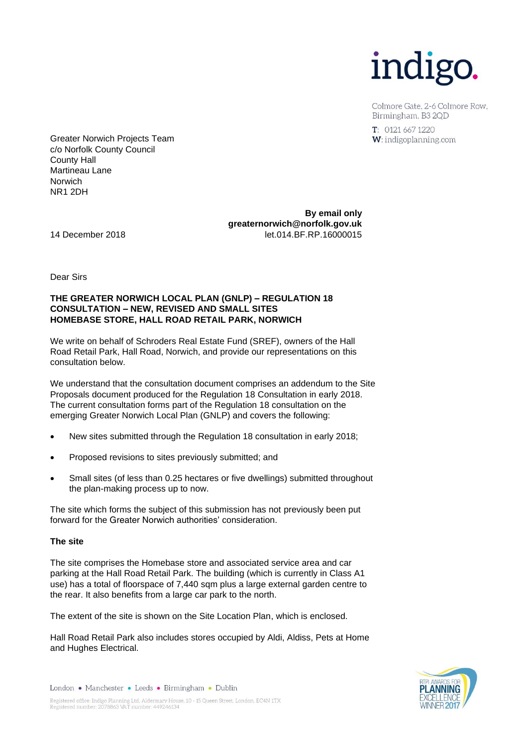

Colmore Gate, 2-6 Colmore Row. Birmingham, B3 2OD

 $T: 01216671220$ W: indigoplanning.com

Greater Norwich Projects Team c/o Norfolk County Council County Hall Martineau Lane Norwich NR1 2DH

**By email only greaternorwich@norfolk.gov.uk** 14 December 2018 let.014.BF.RP.16000015

Dear Sirs

## **THE GREATER NORWICH LOCAL PLAN (GNLP) – REGULATION 18 CONSULTATION – NEW, REVISED AND SMALL SITES HOMEBASE STORE, HALL ROAD RETAIL PARK, NORWICH**

We write on behalf of Schroders Real Estate Fund (SREF), owners of the Hall Road Retail Park, Hall Road, Norwich, and provide our representations on this consultation below.

We understand that the consultation document comprises an addendum to the Site Proposals document produced for the Regulation 18 Consultation in early 2018. The current consultation forms part of the Regulation 18 consultation on the emerging Greater Norwich Local Plan (GNLP) and covers the following:

- New sites submitted through the Regulation 18 consultation in early 2018;
- Proposed revisions to sites previously submitted; and
- Small sites (of less than 0.25 hectares or five dwellings) submitted throughout the plan-making process up to now.

The site which forms the subject of this submission has not previously been put forward for the Greater Norwich authorities' consideration.

### **The site**

The site comprises the Homebase store and associated service area and car parking at the Hall Road Retail Park. The building (which is currently in Class A1 use) has a total of floorspace of 7,440 sqm plus a large external garden centre to the rear. It also benefits from a large car park to the north.

The extent of the site is shown on the Site Location Plan, which is enclosed.

Hall Road Retail Park also includes stores occupied by Aldi, Aldiss, Pets at Home and Hughes Electrical.



London • Manchester • Leeds • Birmingham • Dublin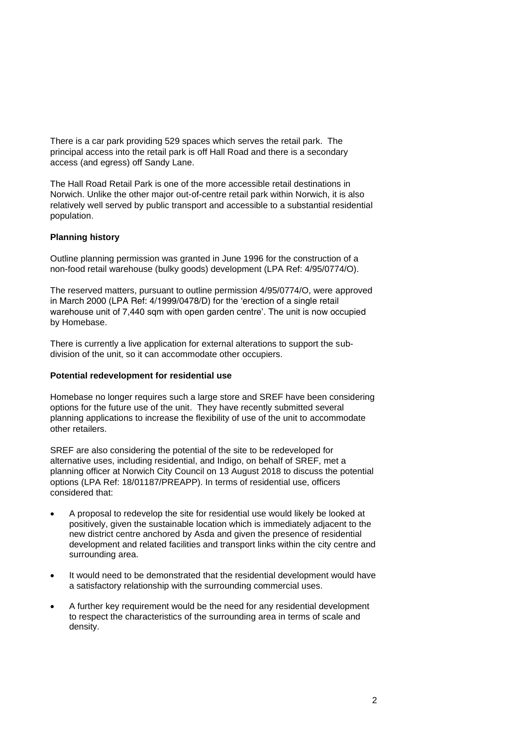There is a car park providing 529 spaces which serves the retail park. The principal access into the retail park is off Hall Road and there is a secondary access (and egress) off Sandy Lane.

The Hall Road Retail Park is one of the more accessible retail destinations in Norwich. Unlike the other major out-of-centre retail park within Norwich, it is also relatively well served by public transport and accessible to a substantial residential population.

# **Planning history**

Outline planning permission was granted in June 1996 for the construction of a non-food retail warehouse (bulky goods) development (LPA Ref: 4/95/0774/O).

The reserved matters, pursuant to outline permission 4/95/0774/O, were approved in March 2000 (LPA Ref: 4/1999/0478/D) for the 'erection of a single retail warehouse unit of 7,440 sqm with open garden centre'. The unit is now occupied by Homebase.

There is currently a live application for external alterations to support the subdivision of the unit, so it can accommodate other occupiers.

### **Potential redevelopment for residential use**

Homebase no longer requires such a large store and SREF have been considering options for the future use of the unit. They have recently submitted several planning applications to increase the flexibility of use of the unit to accommodate other retailers.

SREF are also considering the potential of the site to be redeveloped for alternative uses, including residential, and Indigo, on behalf of SREF, met a planning officer at Norwich City Council on 13 August 2018 to discuss the potential options (LPA Ref: 18/01187/PREAPP). In terms of residential use, officers considered that:

- A proposal to redevelop the site for residential use would likely be looked at positively, given the sustainable location which is immediately adjacent to the new district centre anchored by Asda and given the presence of residential development and related facilities and transport links within the city centre and surrounding area.
- It would need to be demonstrated that the residential development would have a satisfactory relationship with the surrounding commercial uses.
- A further key requirement would be the need for any residential development to respect the characteristics of the surrounding area in terms of scale and density.